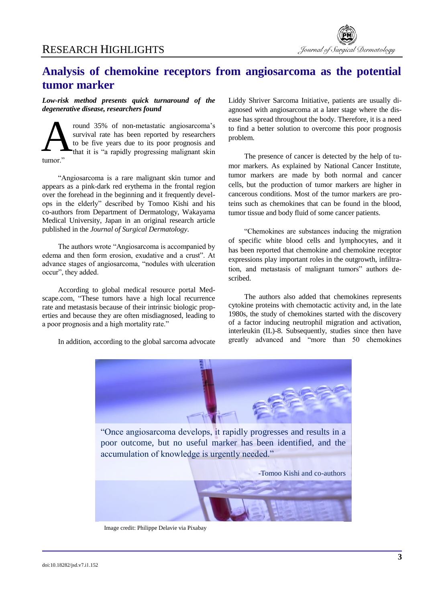

## **Analysis of chemokine receptors from angiosarcoma as the potential tumor marker**

## *Low-risk method presents quick turnaround of the degenerative disease, researchers found*

round 35% of non-metastatic angiosarcoma's survival rate has been reported by researchers to be five years due to its poor prognosis and that it is "a rapidly progressing malignant skin tumor." A

"Angiosarcoma is a rare malignant skin tumor and appears as a pink-dark red erythema in the frontal region over the forehead in the beginning and it frequently develops in the elderly" described by Tomoo Kishi and his co-authors from Department of Dermatology, Wakayama Medical University, Japan in an original research article published in the *Journal of Surgical Dermatology*.

The authors wrote "Angiosarcoma is accompanied by edema and then form erosion, exudative and a crust". At advance stages of angiosarcoma, "nodules with ulceration occur", they added.

According to global medical resource portal Medscape.com, "These tumors have a high local recurrence rate and metastasis because of their intrinsic biologic properties and because they are often misdiagnosed, leading to a poor prognosis and a high mortality rate."

In addition, according to the global sarcoma advocate

Liddy Shriver Sarcoma Initiative, patients are usually diagnosed with angiosarcoma at a later stage where the disease has spread throughout the body. Therefore, it is a need to find a better solution to overcome this poor prognosis problem.

The presence of cancer is detected by the help of tumor markers. As explained by National Cancer Institute, tumor markers are made by both normal and cancer cells, but the production of tumor markers are higher in cancerous conditions. Most of the tumor markers are proteins such as chemokines that can be found in the blood, tumor tissue and body fluid of some cancer patients.

"Chemokines are substances inducing the migration of specific white blood cells and lymphocytes, and it has been reported that chemokine and chemokine receptor expressions play important roles in the outgrowth, infiltration, and metastasis of malignant tumors" authors described.

The authors also added that chemokines represents cytokine proteins with chemotactic activity and, in the late 1980s, the study of chemokines started with the discovery of a factor inducing neutrophil migration and activation, interleukin (IL)-8. Subsequently, studies since then have greatly advanced and "more than 50 chemokines



Image credit: Philippe Delavie via Pixabay